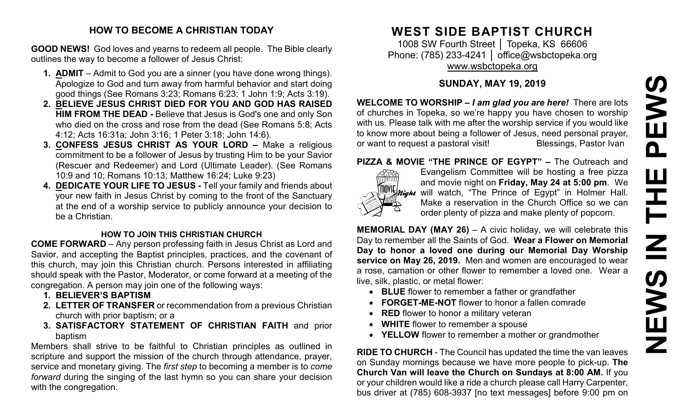# **NEWS IN THE PEWSPEWS**  $\begin{array}{c} \hline \end{array}$ **HH NH SANEWS**

#### **HOW TO BECOME A CHRISTIAN TODAY**

**GOOD NEWS!** God loves and yearns to redeem all people. The Bible clearly outlines the way to become a follower of Jesus Christ:

- **1. ADMIT** Admit to God you are a sinner (you have done wrong things). Apologize to God and turn away from harmful behavior and start doing good things (See Romans 3:23; Romans 6:23; 1 John 1:9; Acts 3:19).
- **2. BELIEVE JESUS CHRIST DIED FOR YOU AND GOD HAS RAISED HIM FROM THE DEAD -** Believe that Jesus is God's one and only Son who died on the cross and rose from the dead (See Romans 5:8; Acts 4:12; Acts 16:31a; John 3:16; 1 Peter 3:18; John 14:6).
- **3. CONFESS JESUS CHRIST AS YOUR LORD –** Make a religious commitment to be a follower of Jesus by trusting Him to be your Savior (Rescuer and Redeemer) and Lord (Ultimate Leader). (See Romans 10:9 and 10; Romans 10:13; Matthew 16:24; Luke 9:23)
- **4. DEDICATE YOUR LIFE TO JESUS -** Tell your family and friends about your new faith in Jesus Christ by coming to the front of the Sanctuary at the end of a worship service to publicly announce your decision to be a Christian.

# **HOW TO JOIN THIS CHRISTIAN CHURCH**

**COME FORWARD** – Any person professing faith in Jesus Christ as Lord and Savior, and accepting the Baptist principles, practices, and the covenant of this church, may join this Christian church. Persons interested in affiliating should speak with the Pastor, Moderator, or come forward at a meeting of the congregation. A person may join one of the following ways:

- **1. BELIEVER'S BAPTISM**
- **2. LETTER OF TRANSFER** or recommendation from a previous Christian church with prior baptism; or a
- **3. SATISFACTORY STATEMENT OF CHRISTIAN FAITH** and prior baptism

Members shall strive to be faithful to Christian principles as outlined in scripture and support the mission of the church through attendance, prayer, service and monetary giving. The *first step* to becoming a member is to *come forward* during the singing of the last hymn so you can share your decision with the congregation.

# **WEST SIDE BAPTIST CHURCH**

1008 SW Fourth Street │ Topeka, KS 66606 Phone: (785) 233-4241 │ [office@wsbctopeka.org](mailto:office@wsbctopeka.org) [www.wsbctopeka.org](http://www.wsbctopeka.org/)

# **SUNDAY, MAY 19, 2019**

**WELCOME TO WORSHIP –** *I am glad you are here!* There are lots of churches in Topeka, so we're happy you have chosen to worship with us. Please talk with me after the worship service if you would like to know more about being a follower of Jesus, need personal prayer,<br>or want to request a pastoral visit!<br>Blessings, Pastor Ivan or want to request a pastoral visit!

# **PIZZA & MOVIE "THE PRINCE OF EGYPT" –** The Outreach and



Evangelism Committee will be hosting a free pizza and movie night on **Friday, May 24 at 5:00 pm**. We  $\frac{\|W\|}{\|W\|}$  will watch, "The Prince of Egypt" in Holmer Hall. Make a reservation in the Church Office so we can order plenty of pizza and make plenty of popcorn.

**MEMORIAL DAY (MAY 26)** – A civic holiday, we will celebrate this Day to remember all the Saints of God. **Wear a Flower on Memorial Day to honor a loved one during our Memorial Day Worship service on May 26, 2019.** Men and women are encouraged to wear a rose, carnation or other flower to remember a loved one. Wear a live, silk, plastic, or metal flower:

- **BLUE** flower to remember a father or grandfather
- **FORGET-ME-NOT** flower to honor a fallen comrade
- **RED** flower to honor a military veteran
- **WHITE** flower to remember a spouse
- **YELLOW** flower to remember a mother or grandmother

**RIDE TO CHURCH** - The Council has updated the time the van leaves on Sunday mornings because we have more people to pick-up. **The Church Van will leave the Church on Sundays at 8:00 AM.** If you or your children would like a ride a church please call Harry Carpenter, bus driver at (785) 608-3937 [no text messages] before 9:00 pm on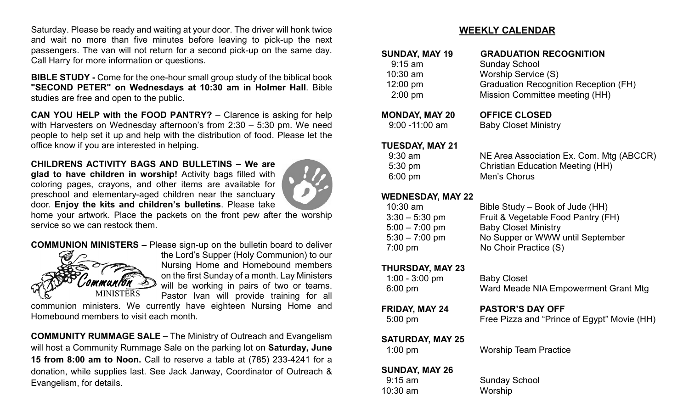Saturday. Please be ready and waiting at your door. The driver will honk twice and wait no more than five minutes before leaving to pick-up the next passengers. The van will not return for a second pick-up on the same day. Call Harry for more information or questions.

**BIBLE STUDY -** Come for the one-hour small group study of the biblical book **"SECOND PETER" on Wednesdays at 10:30 am in Holmer Hall**. Bible studies are free and open to the public.

**CAN YOU HELP with the FOOD PANTRY?** – Clarence is asking for help with Harvesters on Wednesday afternoon's from 2:30 – 5:30 pm. We need people to help set it up and help with the distribution of food. Please let the office know if you are interested in helping.

**CHILDRENS ACTIVITY BAGS AND BULLETINS – We are glad to have children in worship!** Activity bags filled with coloring pages, crayons, and other items are available for preschool and elementary-aged children near the sanctuary door. **Enjoy the kits and children's bulletins**. Please take



home your artwork. Place the packets on the front pew after the worship service so we can restock them.

**COMMUNION MINISTERS –** Please sign-up on the bulletin board to deliver



the Lord's Supper (Holy Communion) to our Nursing Home and Homebound members on the first Sunday of a month. Lay Ministers will be working in pairs of two or teams. Pastor Ivan will provide training for all

communion ministers. We currently have eighteen Nursing Home and Homebound members to visit each month.

**COMMUNITY RUMMAGE SALE –** The Ministry of Outreach and Evangelism will host a Community Rummage Sale on the parking lot on **Saturday, June 15 from 8:00 am to Noon.** Call to reserve a table at (785) 233-4241 for a donation, while supplies last. See Jack Janway, Coordinator of Outreach & Evangelism, for details.

### **WEEKLY CALENDAR**

| <b>SUNDAY, MAY 19</b> | <b>GRADUATION RECOGNITION</b>                |
|-----------------------|----------------------------------------------|
| $9:15$ am             | <b>Sunday School</b>                         |
| $10:30$ am            | Worship Service (S)                          |
| 12:00 pm              | <b>Graduation Recognition Reception (FH)</b> |
| $2:00$ pm             | Mission Committee meeting (HH)               |
|                       |                                              |

#### **MONDAY, MAY 20 OFFICE CLOSED**

9:00 -11:00 am Baby Closet Ministry

#### **TUESDAY, MAY 21**

| 9:30 am | NE Area Association Ex. Com. Mtg (ABCCR) |
|---------|------------------------------------------|
| 5:30 pm | <b>Christian Education Meeting (HH)</b>  |
| 6:00 pm | Men's Chorus                             |

#### **WEDNESDAY, MAY 22**

| $10:30$ am        | Bible Study – Book of Jude (HH)    |
|-------------------|------------------------------------|
| $3:30 - 5:30$ pm  | Fruit & Vegetable Food Pantry (FH) |
| $5:00 - 7:00$ pm  | <b>Baby Closet Ministry</b>        |
| $5:30 - 7:00$ pm  | No Supper or WWW until September   |
| $7:00 \text{ pm}$ | No Choir Practice (S)              |
|                   |                                    |

#### **THURSDAY, MAY 23**

| $1:00 - 3:00$ pm | <b>Baby Closet</b>                   |
|------------------|--------------------------------------|
| 6:00 pm          | Ward Meade NIA Empowerment Grant Mtg |

**FRIDAY, MAY 24 PASTOR'S DAY OFF**

5:00 pm Free Pizza and "Prince of Egypt" Movie (HH)

#### **SATURDAY, MAY 25**

1:00 pm Worship Team Practice

#### **SUNDAY, MAY 26**

10:30 am Worship

9:15 am Sunday School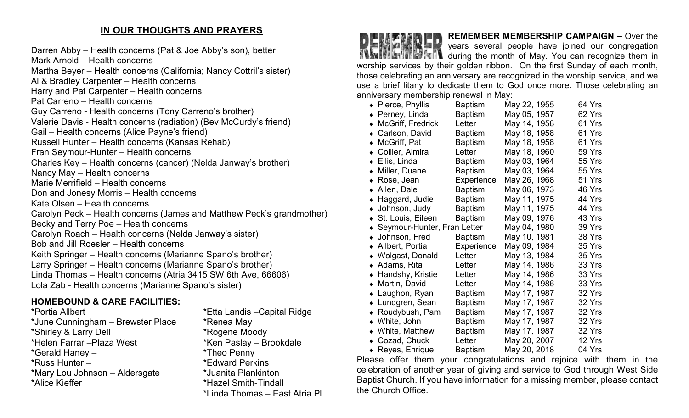# **IN OUR THOUGHTS AND PRAYERS**

Darren Abby – Health concerns (Pat & Joe Abby's son), better Mark Arnold – Health concerns Martha Beyer – Health concerns (California; Nancy Cottril's sister) Al & Bradley Carpenter – Health concerns Harry and Pat Carpenter – Health concerns Pat Carreno – Health concerns Guy Carreno - Health concerns (Tony Carreno's brother) Valerie Davis - Health concerns (radiation) (Bev McCurdy's friend) Gail – Health concerns (Alice Payne's friend) Russell Hunter – Health concerns (Kansas Rehab) Fran Seymour-Hunter – Health concerns Charles Key – Health concerns (cancer) (Nelda Janway's brother) Nancy May – Health concerns Marie Merrifield – Health concerns Don and Jonesy Morris – Health concerns Kate Olsen – Health concerns Carolyn Peck – Health concerns (James and Matthew Peck's grandmother) Becky and Terry Poe – Health concerns Carolyn Roach – Health concerns (Nelda Janway's sister) Bob and Jill Roesler – Health concerns Keith Springer – Health concerns (Marianne Spano's brother) Larry Springer – Health concerns (Marianne Spano's brother) Linda Thomas – Health concerns (Atria 3415 SW 6th Ave, 66606) Lola Zab - Health concerns (Marianne Spano's sister)

# **HOMEBOUND & CARE FACILITIES:**

\*Portia Allbert \*Etta Landis –Capital Ridge \*June Cunningham – Brewster Place \* \* Renea May \*Shirley & Larry Dell \*Rogene Moody \*Helen Farrar –Plaza West \*Ken Paslay – Brookdale \*Gerald Haney – \*Theo Penny \*Russ Hunter – \*Edward Perkins \*Mary Lou Johnson – Aldersgate \*Juanita Plankinton

\*Hazel Smith-Tindall \*Linda Thomas – East Atria Pl



# **REMEMBER MEMBERSHIP CAMPAIGN –** Over the

years several people have joined our congregation **TAG FILE THEM** during the month of May. You can recognize them in worship services by their golden ribbon. On the first Sunday of each month, those celebrating an anniversary are recognized in the worship service, and we use a brief litany to dedicate them to God once more. Those celebrating an anniversary membership renewal in May:

|           | • Pierce, Phyllis           | <b>Baptism</b> | May 22, 1955 | 64 Yrs |
|-----------|-----------------------------|----------------|--------------|--------|
| $\bullet$ | Perney, Linda               | <b>Baptism</b> | May 05, 1957 | 62 Yrs |
|           | McGriff, Fredrick           | Letter         | May 14, 1958 | 61 Yrs |
|           | Carlson, David              | Baptism        | May 18, 1958 | 61 Yrs |
|           | McGriff, Pat                | <b>Baptism</b> | May 18, 1958 | 61 Yrs |
| $\bullet$ | Collier, Almira             | Letter         | May 18, 1960 | 59 Yrs |
|           | ◆ Ellis, Linda              | <b>Baptism</b> | May 03, 1964 | 55 Yrs |
|           | Miller, Duane               | <b>Baptism</b> | May 03, 1964 | 55 Yrs |
| $\bullet$ | Rose, Jean                  | Experience     | May 26, 1968 | 51 Yrs |
| $\bullet$ | Allen, Dale                 | <b>Baptism</b> | May 06, 1973 | 46 Yrs |
| ٠         | Haggard, Judie              | Baptism        | May 11, 1975 | 44 Yrs |
|           | • Johnson, Judy             | <b>Baptism</b> | May 11, 1975 | 44 Yrs |
|           | ◆ St. Louis, Eileen         | <b>Baptism</b> | May 09, 1976 | 43 Yrs |
| $\bullet$ | Seymour-Hunter, Fran Letter |                | May 04, 1980 | 39 Yrs |
|           | • Johnson, Fred             | <b>Baptism</b> | May 10, 1981 | 38 Yrs |
|           | Allbert, Portia             | Experience     | May 09, 1984 | 35 Yrs |
|           | • Wolgast, Donald           | Letter         | May 13, 1984 | 35 Yrs |
|           | $\bullet$ Adams, Rita       | Letter         | May 14, 1986 | 33 Yrs |
|           | • Handshy, Kristie          | Letter         | May 14, 1986 | 33 Yrs |
|           | • Martin, David             | Letter         | May 14, 1986 | 33 Yrs |
|           | • Laughon, Ryan             | <b>Baptism</b> | May 17, 1987 | 32 Yrs |
| $\bullet$ | Lundgren, Sean              | <b>Baptism</b> | May 17, 1987 | 32 Yrs |
|           | ◆ Roudybush, Pam            | <b>Baptism</b> | May 17, 1987 | 32 Yrs |
|           | • White, John               | Baptism        | May 17, 1987 | 32 Yrs |
|           | • White, Matthew            | <b>Baptism</b> | May 17, 1987 | 32 Yrs |
|           | • Cozad, Chuck              | Letter         | May 20, 2007 | 12 Yrs |
|           | $\bullet$ Reyes, Enrique    | <b>Baptism</b> | May 20, 2018 | 04 Yrs |

Please offer them your congratulations and rejoice with them in the celebration of another year of giving and service to God through West Side Baptist Church. If you have information for a missing member, please contact the Church Office.